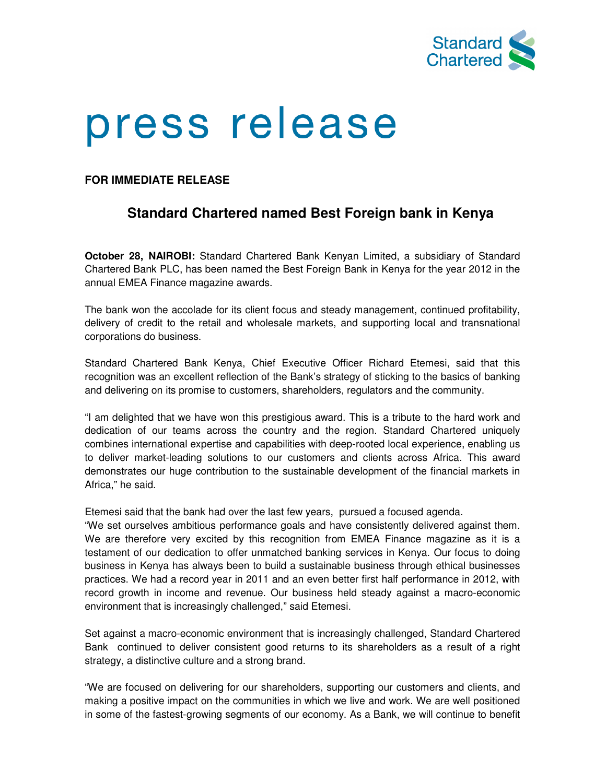

## press release

## **FOR IMMEDIATE RELEASE**

## **Standard Chartered named Best Foreign bank in Kenya**

**October 28, NAIROBI:** Standard Chartered Bank Kenyan Limited, a subsidiary of Standard Chartered Bank PLC, has been named the Best Foreign Bank in Kenya for the year 2012 in the annual EMEA Finance magazine awards.

The bank won the accolade for its client focus and steady management, continued profitability, delivery of credit to the retail and wholesale markets, and supporting local and transnational corporations do business.

Standard Chartered Bank Kenya, Chief Executive Officer Richard Etemesi, said that this recognition was an excellent reflection of the Bank's strategy of sticking to the basics of banking and delivering on its promise to customers, shareholders, regulators and the community.

"I am delighted that we have won this prestigious award. This is a tribute to the hard work and dedication of our teams across the country and the region. Standard Chartered uniquely combines international expertise and capabilities with deep-rooted local experience, enabling us to deliver market-leading solutions to our customers and clients across Africa. This award demonstrates our huge contribution to the sustainable development of the financial markets in Africa," he said.

Etemesi said that the bank had over the last few years, pursued a focused agenda.

"We set ourselves ambitious performance goals and have consistently delivered against them. We are therefore very excited by this recognition from EMEA Finance magazine as it is a testament of our dedication to offer unmatched banking services in Kenya. Our focus to doing business in Kenya has always been to build a sustainable business through ethical businesses practices. We had a record year in 2011 and an even better first half performance in 2012, with record growth in income and revenue. Our business held steady against a macro-economic environment that is increasingly challenged," said Etemesi.

Set against a macro-economic environment that is increasingly challenged, Standard Chartered Bank continued to deliver consistent good returns to its shareholders as a result of a right strategy, a distinctive culture and a strong brand.

"We are focused on delivering for our shareholders, supporting our customers and clients, and making a positive impact on the communities in which we live and work. We are well positioned in some of the fastest-growing segments of our economy. As a Bank, we will continue to benefit